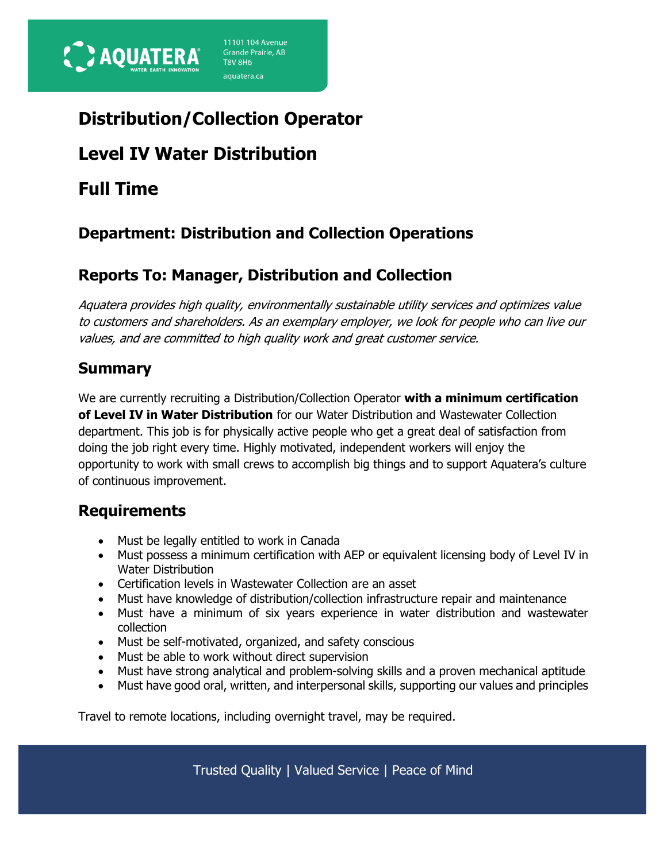

# **Distribution/Collection Operator**

11101 104 Avenue

Grande Prairie, AB **T8V 8H6** aquatera.ca

## **Level IV Water Distribution**

## **Full Time**

## **Department: Distribution and Collection Operations**

### **Reports To: Manager, Distribution and Collection**

Aquatera provides high quality, environmentally sustainable utility services and optimizes value to customers and shareholders. As an exemplary employer, we look for people who can live our values, and are committed to high quality work and great customer service.

#### **Summary**

We are currently recruiting a Distribution/Collection Operator **with a minimum certification of Level IV in Water Distribution** for our Water Distribution and Wastewater Collection department. This job is for physically active people who get a great deal of satisfaction from doing the job right every time. Highly motivated, independent workers will enjoy the opportunity to work with small crews to accomplish big things and to support Aquatera's culture of continuous improvement.

### **Requirements**

- Must be legally entitled to work in Canada
- Must possess a minimum certification with AEP or equivalent licensing body of Level IV in Water Distribution
- Certification levels in Wastewater Collection are an asset
- Must have knowledge of distribution/collection infrastructure repair and maintenance
- Must have a minimum of six years experience in water distribution and wastewater collection
- Must be self-motivated, organized, and safety conscious
- Must be able to work without direct supervision
- Must have strong analytical and problem-solving skills and a proven mechanical aptitude
- Must have good oral, written, and interpersonal skills, supporting our values and principles

Travel to remote locations, including overnight travel, may be required.

Trusted Quality | Valued Service | Peace of Mind